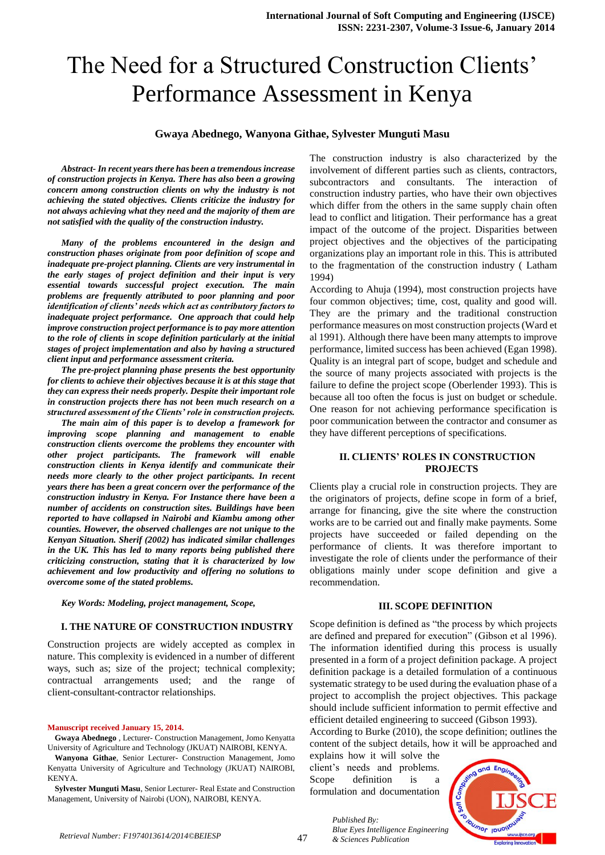# The Need for a Structured Construction Clients' Performance Assessment in Kenya

## **Gwaya Abednego, Wanyona Githae, Sylvester Munguti Masu**

*Abstract- In recent years there has been a tremendous increase of construction projects in Kenya. There has also been a growing concern among construction clients on why the industry is not achieving the stated objectives. Clients criticize the industry for not always achieving what they need and the majority of them are not satisfied with the quality of the construction industry.*

*Many of the problems encountered in the design and construction phases originate from poor definition of scope and inadequate pre-project planning. Clients are very instrumental in the early stages of project definition and their input is very essential towards successful project execution. The main problems are frequently attributed to poor planning and poor identification of clients' needs which act as contributory factors to inadequate project performance. One approach that could help improve construction project performance is to pay more attention to the role of clients in scope definition particularly at the initial stages of project implementation and also by having a structured client input and performance assessment criteria.*

*The pre-project planning phase presents the best opportunity for clients to achieve their objectives because it is at this stage that they can express their needs properly. Despite their important role in construction projects there has not been much research on a structured assessment of the Clients' role in construction projects.* 

*The main aim of this paper is to develop a framework for improving scope planning and management to enable construction clients overcome the problems they encounter with other project participants. The framework will enable construction clients in Kenya identify and communicate their needs more clearly to the other project participants. In recent years there has been a great concern over the performance of the construction industry in Kenya. For Instance there have been a number of accidents on construction sites. Buildings have been reported to have collapsed in Nairobi and Kiambu among other counties. However, the observed challenges are not unique to the Kenyan Situation. Sherif (2002) has indicated similar challenges in the UK. This has led to many reports being published there criticizing construction, stating that it is characterized by low achievement and low productivity and offering no solutions to overcome some of the stated problems.* 

*Key Words: Modeling, project management, Scope,*

#### **I. THE NATURE OF CONSTRUCTION INDUSTRY**

Construction projects are widely accepted as complex in nature. This complexity is evidenced in a number of different ways, such as; size of the project; technical complexity; contractual arrangements used; and the range of client-consultant-contractor relationships.

#### **Manuscript received January 15, 2014.**

**Gwaya Abednego** , Lecturer- Construction Management, Jomo Kenyatta University of Agriculture and Technology (JKUAT) NAIROBI, KENYA.

**Wanyona Githae**, Senior Lecturer- Construction Management, Jomo Kenyatta University of Agriculture and Technology (JKUAT) NAIROBI, KENYA.

**Sylvester Munguti Masu**, Senior Lecturer- Real Estate and Construction Management, University of Nairobi (UON), NAIROBI, KENYA.

The construction industry is also characterized by the involvement of different parties such as clients, contractors, subcontractors and consultants. The interaction of construction industry parties, who have their own objectives which differ from the others in the same supply chain often lead to conflict and litigation. Their performance has a great impact of the outcome of the project. Disparities between project objectives and the objectives of the participating organizations play an important role in this. This is attributed to the fragmentation of the construction industry ( Latham 1994)

According to Ahuja (1994), most construction projects have four common objectives; time, cost, quality and good will. They are the primary and the traditional construction performance measures on most construction projects (Ward et al 1991). Although there have been many attempts to improve performance, limited success has been achieved (Egan 1998). Quality is an integral part of scope, budget and schedule and the source of many projects associated with projects is the failure to define the project scope (Oberlender 1993). This is because all too often the focus is just on budget or schedule. One reason for not achieving performance specification is poor communication between the contractor and consumer as they have different perceptions of specifications.

#### **II. CLIENTS' ROLES IN CONSTRUCTION PROJECTS**

Clients play a crucial role in construction projects. They are the originators of projects, define scope in form of a brief, arrange for financing, give the site where the construction works are to be carried out and finally make payments. Some projects have succeeded or failed depending on the performance of clients. It was therefore important to investigate the role of clients under the performance of their obligations mainly under scope definition and give a recommendation.

#### **III. SCOPE DEFINITION**

Scope definition is defined as "the process by which projects are defined and prepared for execution" (Gibson et al 1996). The information identified during this process is usually presented in a form of a project definition package. A project definition package is a detailed formulation of a continuous systematic strategy to be used during the evaluation phase of a project to accomplish the project objectives. This package should include sufficient information to permit effective and efficient detailed engineering to succeed (Gibson 1993).

According to Burke (2010), the scope definition; outlines the content of the subject details, how it will be approached and

explains how it will solve the client's needs and problems. Scope definition is a formulation and documentation



*Published By: Blue Eyes Intelligence Engineering & Sciences Publication*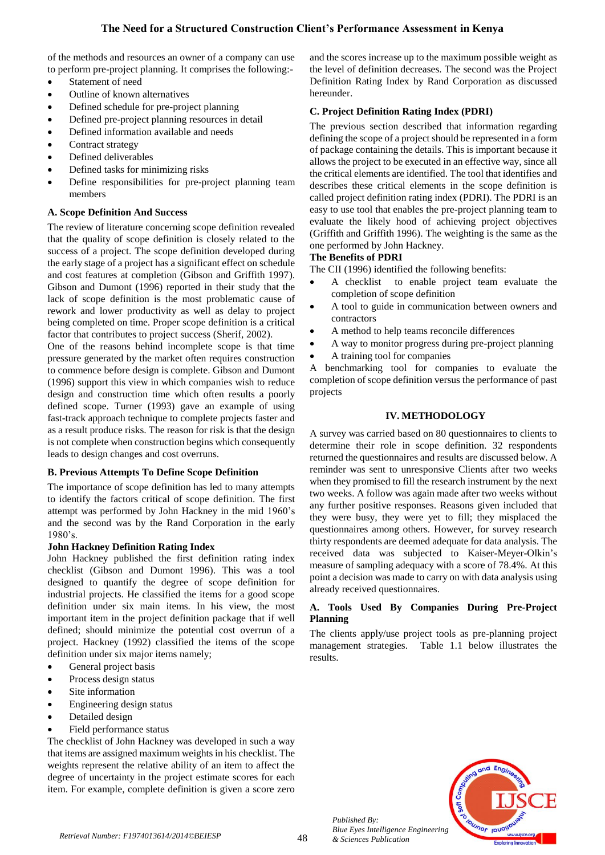of the methods and resources an owner of a company can use to perform pre-project planning. It comprises the following:-

- Statement of need
- Outline of known alternatives
- Defined schedule for pre-project planning
- Defined pre-project planning resources in detail
- Defined information available and needs
- Contract strategy
- Defined deliverables
- Defined tasks for minimizing risks
- Define responsibilities for pre-project planning team members

# **A. Scope Definition And Success**

The review of literature concerning scope definition revealed that the quality of scope definition is closely related to the success of a project. The scope definition developed during the early stage of a project has a significant effect on schedule and cost features at completion (Gibson and Griffith 1997). Gibson and Dumont (1996) reported in their study that the lack of scope definition is the most problematic cause of rework and lower productivity as well as delay to project being completed on time. Proper scope definition is a critical factor that contributes to project success (Sherif, 2002).

One of the reasons behind incomplete scope is that time pressure generated by the market often requires construction to commence before design is complete. Gibson and Dumont (1996) support this view in which companies wish to reduce design and construction time which often results a poorly defined scope. Turner (1993) gave an example of using fast-track approach technique to complete projects faster and as a result produce risks. The reason for risk is that the design is not complete when construction begins which consequently leads to design changes and cost overruns.

# **B. Previous Attempts To Define Scope Definition**

The importance of scope definition has led to many attempts to identify the factors critical of scope definition. The first attempt was performed by John Hackney in the mid 1960's and the second was by the Rand Corporation in the early 1980's.

## **John Hackney Definition Rating Index**

John Hackney published the first definition rating index checklist (Gibson and Dumont 1996). This was a tool designed to quantify the degree of scope definition for industrial projects. He classified the items for a good scope definition under six main items. In his view, the most important item in the project definition package that if well defined; should minimize the potential cost overrun of a project. Hackney (1992) classified the items of the scope definition under six major items namely;

- General project basis
- Process design status
- Site information
- Engineering design status
- Detailed design
- Field performance status

The checklist of John Hackney was developed in such a way that items are assigned maximum weights in his checklist. The weights represent the relative ability of an item to affect the degree of uncertainty in the project estimate scores for each item. For example, complete definition is given a score zero

and the scores increase up to the maximum possible weight as the level of definition decreases. The second was the Project Definition Rating Index by Rand Corporation as discussed hereunder.

# **C. Project Definition Rating Index (PDRI)**

The previous section described that information regarding defining the scope of a project should be represented in a form of package containing the details. This is important because it allows the project to be executed in an effective way, since all the critical elements are identified. The tool that identifies and describes these critical elements in the scope definition is called project definition rating index (PDRI). The PDRI is an easy to use tool that enables the pre-project planning team to evaluate the likely hood of achieving project objectives (Griffith and Griffith 1996). The weighting is the same as the one performed by John Hackney.

# **The Benefits of PDRI**

The CII (1996) identified the following benefits:

- A checklist to enable project team evaluate the completion of scope definition
- A tool to guide in communication between owners and contractors
- A method to help teams reconcile differences
- A way to monitor progress during pre-project planning
- A training tool for companies

A benchmarking tool for companies to evaluate the completion of scope definition versus the performance of past projects

# **IV. METHODOLOGY**

A survey was carried based on 80 questionnaires to clients to determine their role in scope definition. 32 respondents returned the questionnaires and results are discussed below. A reminder was sent to unresponsive Clients after two weeks when they promised to fill the research instrument by the next two weeks. A follow was again made after two weeks without any further positive responses. Reasons given included that they were busy, they were yet to fill; they misplaced the questionnaires among others. However, for survey research thirty respondents are deemed adequate for data analysis. The received data was subjected to Kaiser-Meyer-Olkin's measure of sampling adequacy with a score of 78.4%. At this point a decision was made to carry on with data analysis using already received questionnaires.

# **A. Tools Used By Companies During Pre-Project Planning**

The clients apply/use project tools as pre-planning project management strategies. Table 1.1 below illustrates the results.



*Published By: Blue Eyes Intelligence Engineering & Sciences Publication*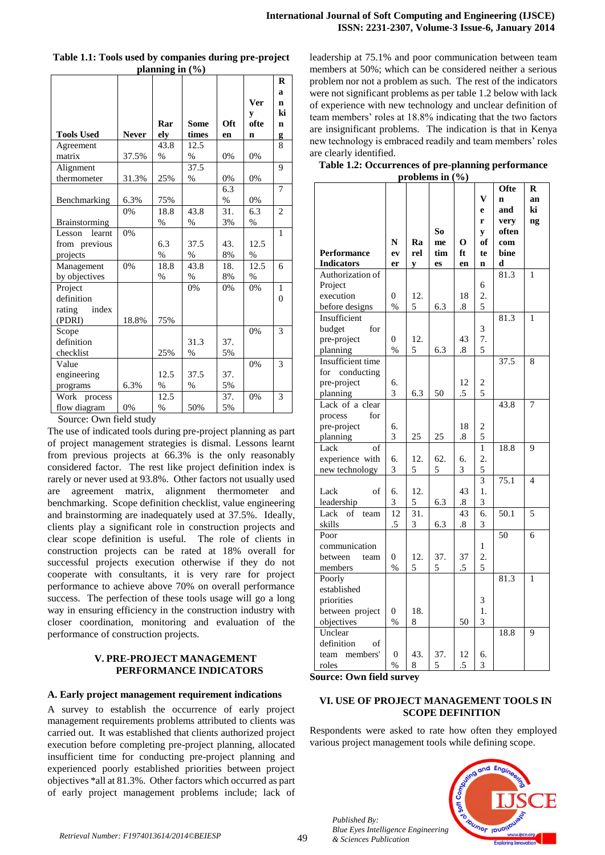|                      |              |               |       |      |            | $\bf{R}$       |
|----------------------|--------------|---------------|-------|------|------------|----------------|
|                      |              |               |       |      |            | a              |
|                      |              |               |       |      | <b>Ver</b> | n              |
|                      |              |               |       |      | y          | ki             |
|                      |              | Rar           | Some  | Oft  | ofte       | n              |
| <b>Tools Used</b>    | <b>Never</b> | elv           | times | en   | n          | g              |
| Agreement            |              | 43.8          | 12.5  |      |            | 8              |
| matrix               | 37.5%        | $\%$          | $\%$  | 0%   | 0%         |                |
| Alignment            |              |               | 37.5  |      |            | 9              |
| thermometer          | 31.3%        | 25%           | $\%$  | 0%   | 0%         |                |
|                      |              |               |       | 6.3  |            | $\overline{7}$ |
| Benchmarking         | 6.3%         | 75%           |       | $\%$ | 0%         |                |
|                      | 0%           | 18.8          | 43.8  | 31.  | 6.3        | $\overline{2}$ |
| <b>Brainstorming</b> |              | $\%$          | $\%$  | 3%   | $\%$       |                |
| learnt<br>Lesson     | 0%           |               |       |      |            | 1              |
| from previous        |              | 6.3           | 37.5  | 43.  | 12.5       |                |
| projects             |              | $\%$          | $\%$  | 8%   | $\%$       |                |
| Management           | 0%           | 18.8          | 43.8  | 18.  | 12.5       | 6              |
| by objectives        |              | $\%$          | $\%$  | 8%   | $\%$       |                |
| Project              |              |               | 0%    | 0%   | 0%         | 1              |
| definition           |              |               |       |      |            | $\theta$       |
| index<br>rating      |              |               |       |      |            |                |
| (PDRI)               | 18.8%        | 75%           |       |      |            |                |
| Scope                |              |               |       |      | 0%         | 3              |
| definition           |              |               | 31.3  | 37.  |            |                |
| checklist            |              | 25%           | $\%$  | 5%   |            |                |
| Value                |              |               |       |      | 0%         | 3              |
| engineering          |              | 12.5          | 37.5  | 37.  |            |                |
| programs             | 6.3%         | $\%$          | %     | 5%   |            |                |
| Work process         |              | 12.5          |       | 37.  | 0%         | 3              |
| flow diagram         | 0%           | $\frac{0}{0}$ | 50%   | 5%   |            |                |

**Table 1.1: Tools used by companies during pre-project planning in (%)**

Source: Own field study

The use of indicated tools during pre-project planning as part of project management strategies is dismal. Lessons learnt from previous projects at 66.3% is the only reasonably considered factor. The rest like project definition index is rarely or never used at 93.8%. Other factors not usually used are agreement matrix, alignment thermometer and benchmarking. Scope definition checklist, value engineering and brainstorming are inadequately used at 37.5%. Ideally, clients play a significant role in construction projects and clear scope definition is useful. The role of clients in construction projects can be rated at 18% overall for successful projects execution otherwise if they do not cooperate with consultants, it is very rare for project performance to achieve above 70% on overall performance success. The perfection of these tools usage will go a long way in ensuring efficiency in the construction industry with closer coordination, monitoring and evaluation of the performance of construction projects.

## **V. PRE-PROJECT MANAGEMENT PERFORMANCE INDICATORS**

## **A. Early project management requirement indications**

A survey to establish the occurrence of early project management requirements problems attributed to clients was carried out. It was established that clients authorized project execution before completing pre-project planning, allocated insufficient time for conducting pre-project planning and experienced poorly established priorities between project objectives \*all at 81.3%. Other factors which occurred as part of early project management problems include; lack of leadership at 75.1% and poor communication between team members at 50%; which can be considered neither a serious problem nor not a problem as such. The rest of the indicators were not significant problems as per table 1.2 below with lack of experience with new technology and unclear definition of team members' roles at 18.8% indicating that the two factors are insignificant problems. The indication is that in Kenya new technology is embraced readily and team members' roles are clearly identified.

**Table 1.2: Occurrences of pre-planning performance problems in (%)**

|                    |                  |     |     |                   |                         | Ofte              | $\bf{R}$       |
|--------------------|------------------|-----|-----|-------------------|-------------------------|-------------------|----------------|
|                    |                  |     |     |                   | V                       | n                 | an             |
|                    |                  |     |     |                   | e                       | and               | ki             |
|                    |                  |     |     |                   | r                       | very              | ng             |
|                    |                  |     | So  |                   | y                       | often             |                |
|                    | N                | Ra  | me  | 0                 | of                      | com               |                |
| Performance        | ev               | rel | tim | ft                | te                      | bine              |                |
| <b>Indicators</b>  | er               | y   | es  | en                | $\mathbf n$             | d                 |                |
| Authorization of   |                  |     |     |                   |                         | 81.3              | 1              |
| Project            |                  |     |     |                   | 6                       |                   |                |
| execution          | $\overline{0}$   | 12. |     | 18                | 2.                      |                   |                |
| before designs     | $\%$             | 5   | 6.3 | $\boldsymbol{.8}$ | 5                       |                   |                |
| Insufficient       |                  |     |     |                   |                         | 81.3              | 1              |
| budget<br>for      |                  |     |     |                   | 3                       |                   |                |
| pre-project        | 0                | 12. |     | 43                | 7.                      |                   |                |
| planning           | $\frac{0}{0}$    | 5   | 6.3 | .8                | 5                       |                   |                |
| Insufficient time  |                  |     |     |                   |                         | 37.5              | 8              |
| for<br>conducting  |                  |     |     |                   |                         |                   |                |
| pre-project        | 6.               |     |     | 12                | $\overline{\mathbf{c}}$ |                   |                |
| planning           | 3                | 6.3 | 50  | .5                | 5                       |                   |                |
| Lack of a clear    |                  |     |     |                   |                         | 43.8              | 7              |
| process<br>for     |                  |     |     |                   |                         |                   |                |
| pre-project        | 6.               |     |     | 18                | $rac{2}{5}$             |                   |                |
| planning           | 3                | 25  | 25  | .8                |                         |                   |                |
| of<br>Lack         |                  |     |     |                   | $\mathbf{1}$            | 18.8              | 9              |
| experience with    | 6.               | 12. | 62. | 6.                | $\overline{c}$          |                   |                |
| new technology     | 3                | 5   | 5   | 3                 | 5                       |                   |                |
|                    |                  |     |     |                   | $\overline{3}$          | 75.1              | $\overline{4}$ |
| Lack<br>of         | 6.               | 12. |     | 43                | 1.                      |                   |                |
| leadership         | 3                | 5   | 6.3 | $\boldsymbol{.8}$ | 3                       |                   |                |
| Lack<br>of<br>team | 12               | 31. |     | 43                | 6.                      | $\overline{50.1}$ | 5              |
| skills             | .5               | 3   | 6.3 | $.8\,$            | 3                       |                   |                |
| Poor               |                  |     |     |                   |                         | 50                | 6              |
| communication      |                  |     |     |                   | 1                       |                   |                |
| between<br>team    | $\overline{0}$   | 12. | 37. | 37                | 2.                      |                   |                |
| members            | $\%$             | 5   | 5   | .5                | 5                       |                   |                |
| Poorly             |                  |     |     |                   |                         | 81.3              | $\mathbf{1}$   |
| established        |                  |     |     |                   |                         |                   |                |
| priorities         |                  |     |     |                   | 3                       |                   |                |
| between project    | $\boldsymbol{0}$ | 18. |     |                   | 1.                      |                   |                |
| objectives         | $\frac{0}{0}$    | 8   |     | 50                | $\overline{3}$          |                   |                |
| Unclear            |                  |     |     |                   |                         | 18.8              | 9              |
| definition<br>of   |                  |     |     |                   |                         |                   |                |
| members'<br>team   | 0                | 43. | 37. | 12                | 6.                      |                   |                |
| roles              | $\%$             | 8   | 5   | .5                | $\overline{3}$          |                   |                |

**Source: Own field survey**

# **VI. USE OF PROJECT MANAGEMENT TOOLS IN SCOPE DEFINITION**

Respondents were asked to rate how often they employed various project management tools while defining scope.



*Published By: Blue Eyes Intelligence Engineering & Sciences Publication*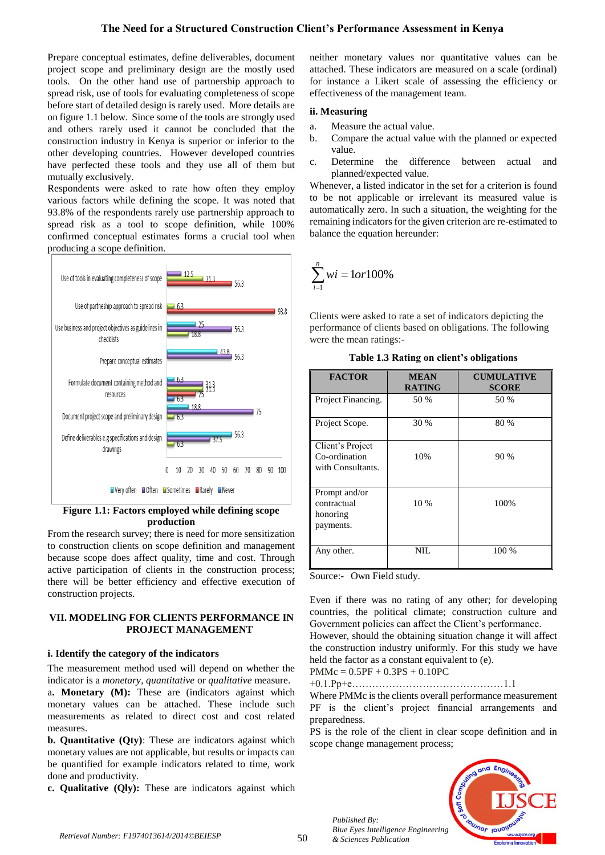# **The Need for a Structured Construction Client's Performance Assessment in Kenya**

Prepare conceptual estimates, define deliverables, document project scope and preliminary design are the mostly used tools. On the other hand use of partnership approach to spread risk, use of tools for evaluating completeness of scope before start of detailed design is rarely used. More details are on figure 1.1 below. Since some of the tools are strongly used and others rarely used it cannot be concluded that the construction industry in Kenya is superior or inferior to the other developing countries. However developed countries have perfected these tools and they use all of them but mutually exclusively.

Respondents were asked to rate how often they employ various factors while defining the scope. It was noted that 93.8% of the respondents rarely use partnership approach to spread risk as a tool to scope definition, while 100% confirmed conceptual estimates forms a crucial tool when producing a scope definition.



## **Figure 1.1: Factors employed while defining scope production**

From the research survey; there is need for more sensitization to construction clients on scope definition and management because scope does affect quality, time and cost. Through active participation of clients in the construction process; there will be better efficiency and effective execution of construction projects.

#### **VII. MODELING FOR CLIENTS PERFORMANCE IN PROJECT MANAGEMENT**

#### **i. Identify the category of the indicators**

The measurement method used will depend on whether the indicator is a *monetary, quantitative* or *qualitative* measure.

a**. Monetary (M):** These are (indicators against which monetary values can be attached. These include such measurements as related to direct cost and cost related measures.

**b. Quantitative (Qty)**: These are indicators against which monetary values are not applicable, but results or impacts can be quantified for example indicators related to time, work done and productivity.

**c. Qualitative (Qly):** These are indicators against which

neither monetary values nor quantitative values can be attached. These indicators are measured on a scale (ordinal) for instance a Likert scale of assessing the efficiency or effectiveness of the management team.

#### **ii. Measuring**

- a. Measure the actual value.
- b. Compare the actual value with the planned or expected value.
- c. Determine the difference between actual and planned/expected value.

Whenever, a listed indicator in the set for a criterion is found to be not applicable or irrelevant its measured value is automatically zero. In such a situation, the weighting for the remaining indicators for the given criterion are re-estimated to balance the equation hereunder:

$$
\sum_{i=1}^{n} wi = 1 or 100\%
$$

Clients were asked to rate a set of indicators depicting the performance of clients based on obligations. The following were the mean ratings:-

| <b>FACTOR</b>                                          | <b>MEAN</b><br><b>RATING</b> | <b>CUMULATIVE</b><br><b>SCORE</b> |
|--------------------------------------------------------|------------------------------|-----------------------------------|
| Project Financing.                                     | 50 %                         | 50 %                              |
| Project Scope.                                         | 30 %                         | 80%                               |
| Client's Project<br>Co-ordination<br>with Consultants. | 10%                          | 90 %                              |
| Prompt and/or<br>contractual<br>honoring<br>payments.  | 10%                          | 100%                              |
| Any other.                                             | NIL                          | 100 %                             |

**Table 1.3 Rating on client's obligations**

Source:- Own Field study.

Even if there was no rating of any other; for developing countries, the political climate; construction culture and Government policies can affect the Client's performance.

However, should the obtaining situation change it will affect the construction industry uniformly. For this study we have held the factor as a constant equivalent to (e).

PMMc = 0.5PF + 0.3PS + 0.10PC

+0.1.Pp+e………………………………………1.1

Where PMMc is the clients overall performance measurement PF is the client's project financial arrangements and preparedness.

PS is the role of the client in clear scope definition and in scope change management process;